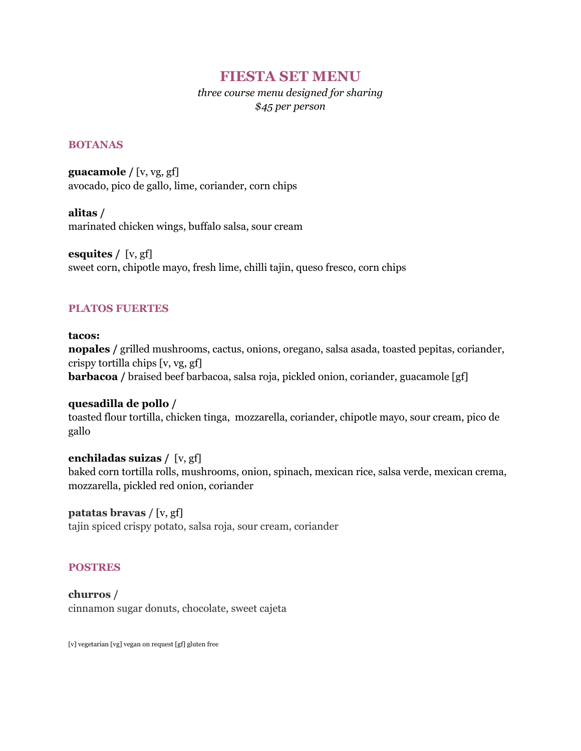# **FIESTA SET MENU**

*three course menu designed for sharing \$45 per person*

#### **BOTANAS**

**guacamole /** [v, vg, gf] avocado, pico de gallo, lime, coriander, corn chips

**alitas /** marinated chicken wings, buffalo salsa, sour cream

**esquites /** [v, gf] sweet corn, chipotle mayo, fresh lime, chilli tajin, queso fresco, corn chips

### **PLATOS FUERTES**

**tacos: nopales /** grilled mushrooms, cactus, onions, oregano, salsa asada, toasted pepitas, coriander, crispy tortilla chips [v, vg, gf] **barbacoa** / braised beef barbacoa, salsa roja, pickled onion, coriander, guacamole [gf]

#### **quesadilla de pollo /**

toasted flour tortilla, chicken tinga, mozzarella, coriander, chipotle mayo, sour cream, pico de gallo

**enchiladas suizas /** [v, gf]

baked corn tortilla rolls, mushrooms, onion, spinach, mexican rice, salsa verde, mexican crema, mozzarella, pickled red onion, coriander

### **patatas bravas /** [v, gf]

tajin spiced crispy potato, salsa roja, sour cream, coriander

### **POSTRES**

**churros /** cinnamon sugar donuts, chocolate, sweet cajeta

[v] vegetarian [vg] vegan on request [gf] gluten free